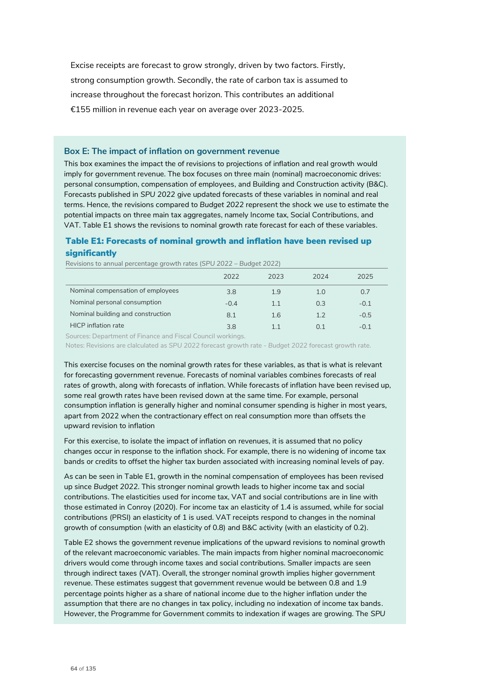Excise receipts are forecast to grow strongly, driven by two factors. Firstly, strong consumption growth. Secondly, the rate of carbon tax is assumed to increase throughout the forecast horizon. This contributes an additional €155 million in revenue each year on average over 2023-2025.

## **Box E: The impact of inflation on government revenue**

This box examines the impact the of revisions to projections of inflation and real growth would imply for government revenue. The box focuses on three main (nominal) macroeconomic drives: personal consumption, compensation of employees, and Building and Construction activity (B&C). Forecasts published in *SPU 2022* give updated forecasts of these variables in nominal and real terms. Hence, the revisions compared to *Budget 2022* represent the shock we use to estimate the potential impacts on three main tax aggregates, namely Income tax, Social Contributions, and VAT. Table E1 shows the revisions to nominal growth rate forecast for each of these variables.

## Table E1: Forecasts of nominal growth and inflation have been revised up significantly

Revisions to annual percentage growth rates (*SPU 2022* – *Budget 2022*)

|                                   | 2022   | 2023 | 2024 | 2025   |
|-----------------------------------|--------|------|------|--------|
| Nominal compensation of employees | 3.8    | 1.9  | 1.0  | 0.7    |
| Nominal personal consumption      | $-0.4$ | 1.1  | 0.3  | $-0.1$ |
| Nominal building and construction | 8.1    | 1.6  | 1.2  | $-0.5$ |
| <b>HICP</b> inflation rate        | 3.8    |      | O 1  | $-0.1$ |

Sources: Department of Finance and Fiscal Council workings.

Notes: Revisions are clalculated as *SPU 2022* forecast growth rate - *Budget 2022* forecast growth rate.

This exercise focuses on the nominal growth rates for these variables, as that is what is relevant for forecasting government revenue. Forecasts of nominal variables combines forecasts of real rates of growth, along with forecasts of inflation. While forecasts of inflation have been revised up, some real growth rates have been revised down at the same time. For example, personal consumption inflation is generally higher and nominal consumer spending is higher in most years, apart from 2022 when the contractionary effect on real consumption more than offsets the upward revision to inflation

For this exercise, to isolate the impact of inflation on revenues, it is assumed that no policy changes occur in response to the inflation shock. For example, there is no widening of income tax bands or credits to offset the higher tax burden associated with increasing nominal levels of pay.

As can be seen in Table E1, growth in the nominal compensation of employees has been revised up since *Budget 2022*. This stronger nominal growth leads to higher income tax and social contributions. The elasticities used for income tax, VAT and social contributions are in line with those estimated in Conroy (2020). For income tax an elasticity of 1.4 is assumed, while for social contributions (PRSI) an elasticity of 1 is used. VAT receipts respond to changes in the nominal growth of consumption (with an elasticity of 0.8) and B&C activity (with an elasticity of 0.2).

Table E2 shows the government revenue implications of the upward revisions to nominal growth of the relevant macroeconomic variables. The main impacts from higher nominal macroeconomic drivers would come through income taxes and social contributions. Smaller impacts are seen through indirect taxes (VAT). Overall, the stronger nominal growth implies higher government revenue. These estimates suggest that government revenue would be between 0.8 and 1.9 percentage points higher as a share of national income due to the higher inflation under the assumption that there are no changes in tax policy, including no indexation of income tax bands. However, the Programme for Government commits to indexation if wages are growing. The *SPU*